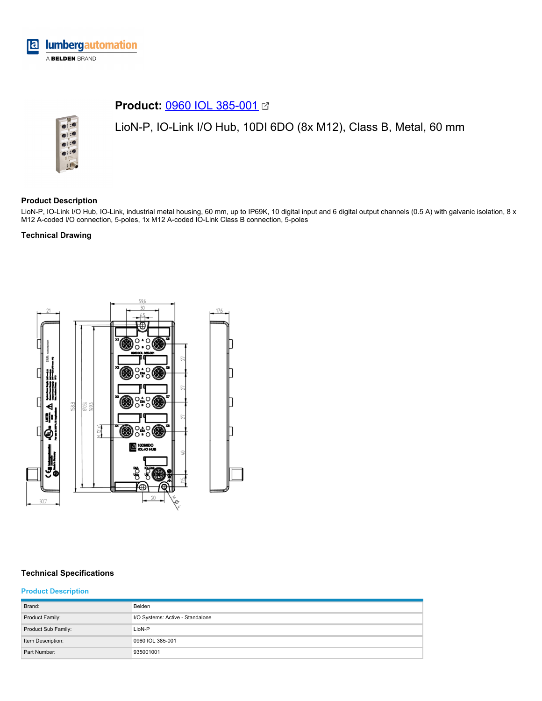

# **Product:** [0960 IOL 385-001](https://catalog.belden.com/index.cfm?event=pd&p=PF_0960IOL385001&tab=downloads)



LioN-P, IO-Link I/O Hub, 10DI 6DO (8x M12), Class B, Metal, 60 mm

### **Product Description**

LioN-P, IO-Link I/O Hub, IO-Link, industrial metal housing, 60 mm, up to IP69K, 10 digital input and 6 digital output channels (0.5 A) with galvanic isolation, 8 x M12 A-coded I/O connection, 5-poles, 1x M12 A-coded IO-Link Class B connection, 5-poles

#### **Technical Drawing**



## **Technical Specifications**

#### **Product Description**

| Brand:              | Belden                           |
|---------------------|----------------------------------|
| Product Family:     | I/O Systems: Active - Standalone |
| Product Sub Family: | LioN-P                           |
| Item Description:   | 0960 IOL 385-001                 |
| Part Number:        | 935001001                        |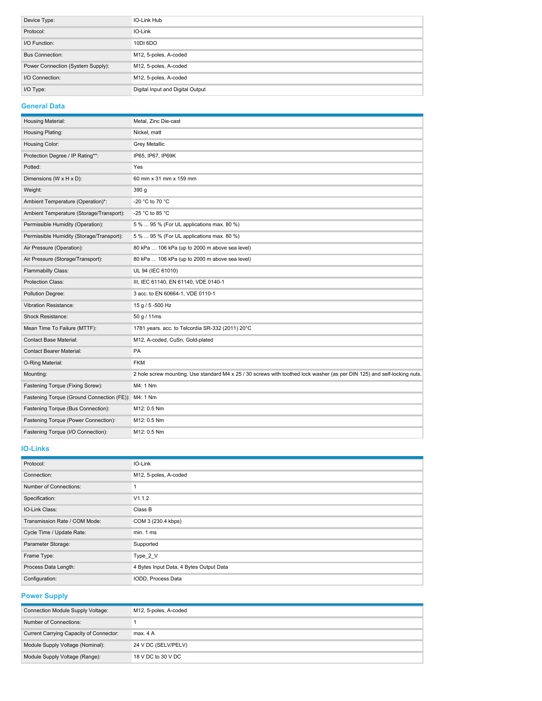| Device Type:                      | IO-Link Hub                      |
|-----------------------------------|----------------------------------|
| Protocol:                         | IO-Link                          |
| I/O Function:                     | 10DI 6DO                         |
| <b>Bus Connection:</b>            | M12, 5-poles, A-coded            |
| Power Connection (System Supply): | M12, 5-poles, A-coded            |
| I/O Connection:                   | M12, 5-poles, A-coded            |
| I/O Type:                         | Digital Input and Digital Output |

### **General Data**

| Housing Material:                          | Metal, Zinc Die-cast                                                                                                     |
|--------------------------------------------|--------------------------------------------------------------------------------------------------------------------------|
| Housing Plating:                           | Nickel, matt                                                                                                             |
| Housing Color:                             | <b>Grey Metallic</b>                                                                                                     |
| Protection Degree / IP Rating**:           | IP65, IP67, IP69K                                                                                                        |
| Potted:                                    | Yes                                                                                                                      |
| Dimensions (W x H x D):                    | 60 mm x 31 mm x 159 mm                                                                                                   |
| Weight:                                    | 390 g                                                                                                                    |
| Ambient Temperature (Operation)*:          | -20 °C to 70 °C                                                                                                          |
| Ambient Temperature (Storage/Transport):   | -25 °C to 85 °C                                                                                                          |
| Permissible Humidity (Operation):          | 5 %  95 % (For UL applications max. 80 %)                                                                                |
| Permissible Humidity (Storage/Transport):  | 5 %  95 % (For UL applications max. 80 %)                                                                                |
| Air Pressure (Operation):                  | 80 kPa  106 kPa (up to 2000 m above sea level)                                                                           |
| Air Pressure (Storage/Transport):          | 80 kPa  106 kPa (up to 2000 m above sea level)                                                                           |
| Flammabilty Class:                         | UL 94 (IEC 61010)                                                                                                        |
| Protection Class:                          | III, IEC 61140, EN 61140, VDE 0140-1                                                                                     |
| Pollution Degree:                          | 3 acc. to EN 60664-1, VDE 0110-1                                                                                         |
| <b>Vibration Resistance:</b>               | 15 g / 5 -500 Hz                                                                                                         |
| <b>Shock Resistance:</b>                   | 50 g / 11ms                                                                                                              |
| Mean Time To Failure (MTTF):               | 1781 years. acc. to Telcordia SR-332 (2011) 20°C                                                                         |
| <b>Contact Base Material:</b>              | M12, A-coded, CuSn, Gold-plated                                                                                          |
| <b>Contact Bearer Material:</b>            | PA                                                                                                                       |
| O-Ring Material:                           | <b>FKM</b>                                                                                                               |
| Mounting:                                  | 2 hole screw mounting. Use standard M4 x 25 / 30 screws with toothed lock washer (as per DIN 125) and self-locking nuts. |
| Fastening Torque (Fixing Screw):           | M4: 1 Nm                                                                                                                 |
| Fastening Torque (Ground Connection (FE)): | M4: 1 Nm                                                                                                                 |
| Fastening Torque (Bus Connection):         | M12: 0.5 Nm                                                                                                              |
| Fastening Torque (Power Connection):       | M12: 0.5 Nm                                                                                                              |
| Fastening Torque (I/O Connection):         | M12: 0.5 Nm                                                                                                              |

#### **IO-Links**

| Protocol:                     | IO-Link                                 |
|-------------------------------|-----------------------------------------|
| Connection:                   | M12, 5-poles, A-coded                   |
| Number of Connections:        |                                         |
| Specification:                | V1.1.2                                  |
| IO-Link Class:                | Class B                                 |
| Transmission Rate / COM Mode: | COM 3 (230.4 kbps)                      |
| Cycle Time / Update Rate:     | min. 1 ms                               |
| Parameter Storage:            | Supported                               |
| Frame Type:                   | Type 2 V                                |
| Process Data Length:          | 4 Bytes Input Data, 4 Bytes Output Data |
| Configuration:                | IODD, Process Data                      |

**Power Supply**

| Connection Module Supply Voltage:       | M12, 5-poles, A-coded |
|-----------------------------------------|-----------------------|
| Number of Connections:                  |                       |
| Current Carrying Capacity of Connector: | max. 4 A              |
| Module Supply Voltage (Nominal):        | 24 V DC (SELV/PELV)   |
| Module Supply Voltage (Range):          | 18 V DC to 30 V DC    |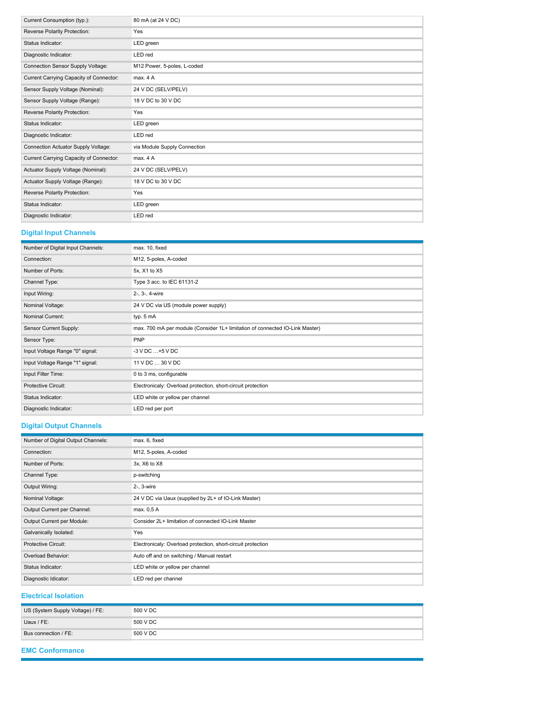| Current Consumption (typ.):             | 80 mA (at 24 V DC)           |
|-----------------------------------------|------------------------------|
| Reverse Polarity Protection:            | Yes                          |
| Status Indicator:                       | LED green                    |
| Diagnostic Indicator:                   | LED red                      |
| Connection Sensor Supply Voltage:       | M12 Power, 5-poles, L-coded  |
| Current Carrying Capacity of Connector: | max. 4A                      |
| Sensor Supply Voltage (Nominal):        | 24 V DC (SELV/PELV)          |
| Sensor Supply Voltage (Range):          | 18 V DC to 30 V DC           |
| Reverse Polarity Protection:            | Yes                          |
| Status Indicator:                       | LED green                    |
| Diagnostic Indicator:                   | LED red                      |
| Connection Actuator Supply Voltage:     | via Module Supply Connection |
| Current Carrying Capacity of Connector: | max. 4A                      |
| Actuator Supply Voltage (Nominal):      | 24 V DC (SELV/PELV)          |
| Actuator Supply Voltage (Range):        | 18 V DC to 30 V DC           |
| Reverse Polarity Protection:            | Yes                          |
| Status Indicator:                       | LED green                    |
| Diagnostic Indicator:                   | LED red                      |

### **Digital Input Channels**

| Number of Digital Input Channels: | max. 10, fixed                                                               |
|-----------------------------------|------------------------------------------------------------------------------|
| Connection:                       | M12, 5-poles, A-coded                                                        |
| Number of Ports:                  | 5x, X1 to X5                                                                 |
| Channel Type:                     | Type 3 acc. to IEC 61131-2                                                   |
| Input Wiring:                     | 2-, 3-, 4-wire                                                               |
| Nominal Voltage:                  | 24 V DC via US (module power supply)                                         |
| Nominal Current:                  | typ. 5 mA                                                                    |
| Sensor Current Supply:            | max. 700 mA per module (Consider 1L+ limitation of connected IO-Link Master) |
| Sensor Type:                      | PNP                                                                          |
| Input Voltage Range "0" signal:   | $-3$ V DC $+5$ V DC                                                          |
| Input Voltage Range "1" signal:   | 11 V DC  30 V DC                                                             |
| Input Filter Time:                | 0 to 3 ms, configurable                                                      |
| Protective Circuit:               | Electronicaly: Overload protection, short-circuit protection                 |
| Status Indicator:                 | LED white or yellow per channel                                              |
| Diagnostic Indicator:             | LED red per port                                                             |

### **Digital Output Channels**

| Number of Digital Output Channels: | max. 6, fixed                                                |
|------------------------------------|--------------------------------------------------------------|
| Connection:                        | M12, 5-poles, A-coded                                        |
| Number of Ports:                   | 3x, X6 to X8                                                 |
| Channel Type:                      | p-switching                                                  |
| Output Wiring:                     | 2-, 3-wire                                                   |
| Nominal Voltage:                   | 24 V DC via Uaux (supplied by 2L+ of IO-Link Master)         |
| Output Current per Channel:        | max. 0,5 A                                                   |
| Output Current per Module:         | Consider 2L+ limitation of connected IO-Link Master          |
| Galvanically Isolated:             | Yes                                                          |
| <b>Protective Circuit:</b>         | Electronicaly: Overload protection, short-circuit protection |
| Overload Behavior:                 | Auto off and on switching / Manual restart                   |
| Status Indicator:                  | LED white or yellow per channel                              |
| Diagnostic Idicator:               | LED red per channel                                          |

**Electrical Isolation**

| US (System Supply Voltage) / FE: | 500 V DC |
|----------------------------------|----------|
| Uaux / FE:                       | 500 V DC |
| Bus connection / FE:             | 500 V DC |

**EMC Conformance**